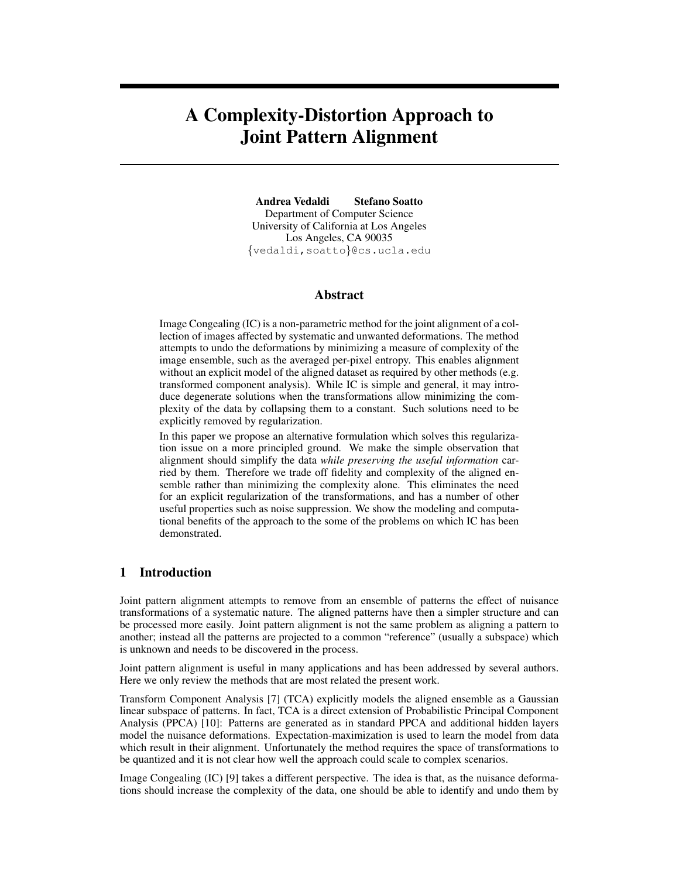# A Complexity-Distortion Approach to Joint Pattern Alignment

Andrea Vedaldi Stefano Soatto Department of Computer Science University of California at Los Angeles Los Angeles, CA 90035 {vedaldi,soatto}@cs.ucla.edu

## Abstract

Image Congealing (IC) is a non-parametric method for the joint alignment of a collection of images affected by systematic and unwanted deformations. The method attempts to undo the deformations by minimizing a measure of complexity of the image ensemble, such as the averaged per-pixel entropy. This enables alignment without an explicit model of the aligned dataset as required by other methods (e.g. transformed component analysis). While IC is simple and general, it may introduce degenerate solutions when the transformations allow minimizing the complexity of the data by collapsing them to a constant. Such solutions need to be explicitly removed by regularization.

In this paper we propose an alternative formulation which solves this regularization issue on a more principled ground. We make the simple observation that alignment should simplify the data *while preserving the useful information* carried by them. Therefore we trade off fidelity and complexity of the aligned ensemble rather than minimizing the complexity alone. This eliminates the need for an explicit regularization of the transformations, and has a number of other useful properties such as noise suppression. We show the modeling and computational benefits of the approach to the some of the problems on which IC has been demonstrated.

# 1 Introduction

Joint pattern alignment attempts to remove from an ensemble of patterns the effect of nuisance transformations of a systematic nature. The aligned patterns have then a simpler structure and can be processed more easily. Joint pattern alignment is not the same problem as aligning a pattern to another; instead all the patterns are projected to a common "reference" (usually a subspace) which is unknown and needs to be discovered in the process.

Joint pattern alignment is useful in many applications and has been addressed by several authors. Here we only review the methods that are most related the present work.

Transform Component Analysis [7] (TCA) explicitly models the aligned ensemble as a Gaussian linear subspace of patterns. In fact, TCA is a direct extension of Probabilistic Principal Component Analysis (PPCA) [10]: Patterns are generated as in standard PPCA and additional hidden layers model the nuisance deformations. Expectation-maximization is used to learn the model from data which result in their alignment. Unfortunately the method requires the space of transformations to be quantized and it is not clear how well the approach could scale to complex scenarios.

Image Congealing (IC) [9] takes a different perspective. The idea is that, as the nuisance deformations should increase the complexity of the data, one should be able to identify and undo them by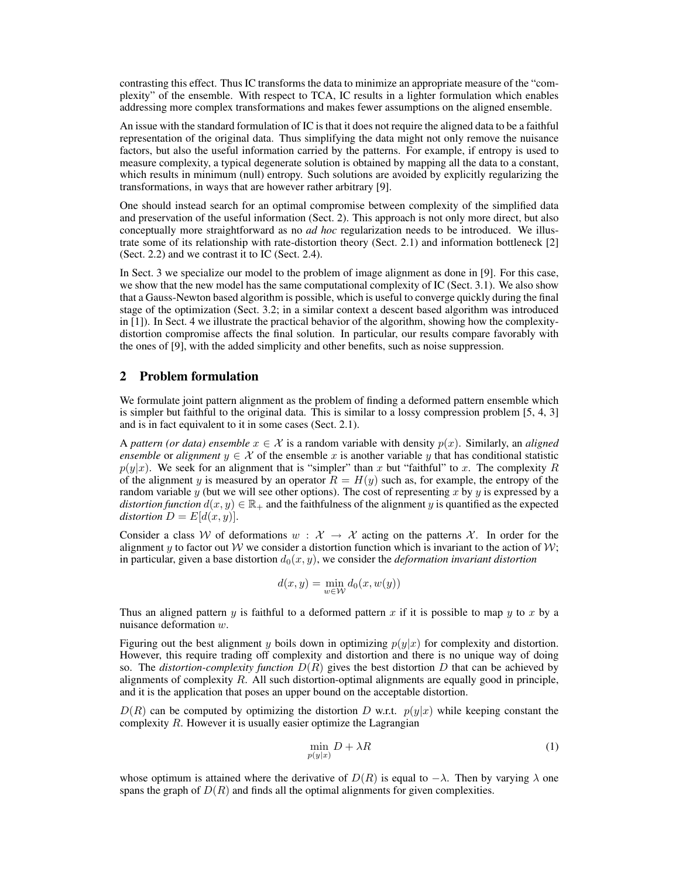contrasting this effect. Thus IC transforms the data to minimize an appropriate measure of the "complexity" of the ensemble. With respect to TCA, IC results in a lighter formulation which enables addressing more complex transformations and makes fewer assumptions on the aligned ensemble.

An issue with the standard formulation of IC is that it does not require the aligned data to be a faithful representation of the original data. Thus simplifying the data might not only remove the nuisance factors, but also the useful information carried by the patterns. For example, if entropy is used to measure complexity, a typical degenerate solution is obtained by mapping all the data to a constant, which results in minimum (null) entropy. Such solutions are avoided by explicitly regularizing the transformations, in ways that are however rather arbitrary [9].

One should instead search for an optimal compromise between complexity of the simplified data and preservation of the useful information (Sect. 2). This approach is not only more direct, but also conceptually more straightforward as no *ad hoc* regularization needs to be introduced. We illustrate some of its relationship with rate-distortion theory (Sect. 2.1) and information bottleneck [2] (Sect. 2.2) and we contrast it to IC (Sect. 2.4).

In Sect. 3 we specialize our model to the problem of image alignment as done in [9]. For this case, we show that the new model has the same computational complexity of IC (Sect. 3.1). We also show that a Gauss-Newton based algorithm is possible, which is useful to converge quickly during the final stage of the optimization (Sect. 3.2; in a similar context a descent based algorithm was introduced in [1]). In Sect. 4 we illustrate the practical behavior of the algorithm, showing how the complexitydistortion compromise affects the final solution. In particular, our results compare favorably with the ones of [9], with the added simplicity and other benefits, such as noise suppression.

## 2 Problem formulation

We formulate joint pattern alignment as the problem of finding a deformed pattern ensemble which is simpler but faithful to the original data. This is similar to a lossy compression problem [5, 4, 3] and is in fact equivalent to it in some cases (Sect. 2.1).

A *pattern (or data) ensemble*  $x \in \mathcal{X}$  is a random variable with density  $p(x)$ . Similarly, an *aligned ensemble* or *alignment*  $y \in \mathcal{X}$  of the ensemble x is another variable y that has conditional statistic  $p(y|x)$ . We seek for an alignment that is "simpler" than x but "faithful" to x. The complexity R of the alignment y is measured by an operator  $R = H(y)$  such as, for example, the entropy of the random variable  $y$  (but we will see other options). The cost of representing  $x$  by  $y$  is expressed by a *distortion function*  $d(x, y) \in \mathbb{R}_+$  and the faithfulness of the alignment y is quantified as the expected *distortion*  $D = E[d(x, y)]$ .

Consider a class W of deformations  $w : \mathcal{X} \to \mathcal{X}$  acting on the patterns X. In order for the alignment y to factor out W we consider a distortion function which is invariant to the action of  $W$ ; in particular, given a base distortion  $d_0(x, y)$ , we consider the *deformation invariant distortion* 

$$
d(x, y) = \min_{w \in \mathcal{W}} d_0(x, w(y))
$$

Thus an aligned pattern y is faithful to a deformed pattern x if it is possible to map y to x by a nuisance deformation w.

Figuring out the best alignment y boils down in optimizing  $p(y|x)$  for complexity and distortion. However, this require trading off complexity and distortion and there is no unique way of doing so. The *distortion-complexity function*  $D(R)$  gives the best distortion D that can be achieved by alignments of complexity  $R$ . All such distortion-optimal alignments are equally good in principle, and it is the application that poses an upper bound on the acceptable distortion.

 $D(R)$  can be computed by optimizing the distortion D w.r.t.  $p(y|x)$  while keeping constant the complexity  $R$ . However it is usually easier optimize the Lagrangian

$$
\min_{p(y|x)} D + \lambda R \tag{1}
$$

whose optimum is attained where the derivative of  $D(R)$  is equal to  $-\lambda$ . Then by varying  $\lambda$  one spans the graph of  $D(R)$  and finds all the optimal alignments for given complexities.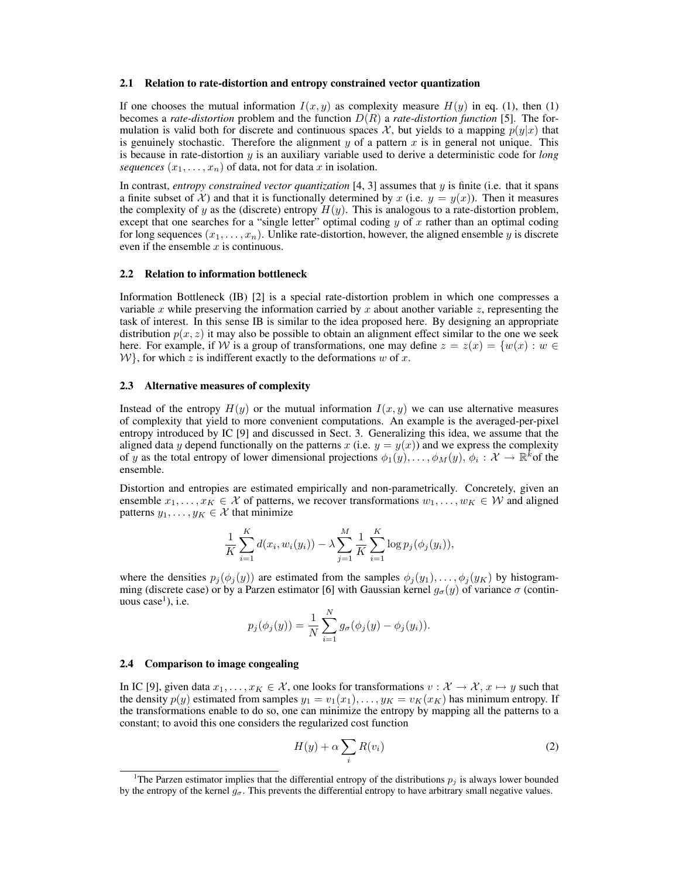#### 2.1 Relation to rate-distortion and entropy constrained vector quantization

If one chooses the mutual information  $I(x, y)$  as complexity measure  $H(y)$  in eq. (1), then (1) becomes a *rate-distortion* problem and the function  $D(R)$  a *rate-distortion function* [5]. The formulation is valid both for discrete and continuous spaces X, but yields to a mapping  $p(y|x)$  that is genuinely stochastic. Therefore the alignment y of a pattern x is in general not unique. This is because in rate-distortion y is an auxiliary variable used to derive a deterministic code for *long sequences*  $(x_1, \ldots, x_n)$  of data, not for data x in isolation.

In contrast, *entropy constrained vector quantization* [4, 3] assumes that y is finite (i.e. that it spans a finite subset of X) and that it is functionally determined by x (i.e.  $y = y(x)$ ). Then it measures the complexity of y as the (discrete) entropy  $H(y)$ . This is analogous to a rate-distortion problem, except that one searches for a "single letter" optimal coding  $y$  of  $x$  rather than an optimal coding for long sequences  $(x_1, \ldots, x_n)$ . Unlike rate-distortion, however, the aligned ensemble y is discrete even if the ensemble  $x$  is continuous.

## 2.2 Relation to information bottleneck

Information Bottleneck (IB) [2] is a special rate-distortion problem in which one compresses a variable x while preserving the information carried by x about another variable z, representing the task of interest. In this sense IB is similar to the idea proposed here. By designing an appropriate distribution  $p(x, z)$  it may also be possible to obtain an alignment effect similar to the one we seek here. For example, if W is a group of transformations, one may define  $z = z(x) = \{w(x) : w \in$  $W$ , for which z is indifferent exactly to the deformations w of x.

### 2.3 Alternative measures of complexity

Instead of the entropy  $H(y)$  or the mutual information  $I(x, y)$  we can use alternative measures of complexity that yield to more convenient computations. An example is the averaged-per-pixel entropy introduced by IC [9] and discussed in Sect. 3. Generalizing this idea, we assume that the aligned data y depend functionally on the patterns x (i.e.  $y = y(x)$ ) and we express the complexity of y as the total entropy of lower dimensional projections  $\phi_1(y), \ldots, \phi_M(y), \phi_i : \mathcal{X} \to \mathbb{R}^k$  of the ensemble.

Distortion and entropies are estimated empirically and non-parametrically. Concretely, given an ensemble  $x_1, \ldots, x_K \in \mathcal{X}$  of patterns, we recover transformations  $w_1, \ldots, w_K \in \mathcal{W}$  and aligned patterns  $y_1, \ldots, y_K \in \mathcal{X}$  that minimize

$$
\frac{1}{K} \sum_{i=1}^{K} d(x_i, w_i(y_i)) - \lambda \sum_{j=1}^{M} \frac{1}{K} \sum_{i=1}^{K} \log p_j(\phi_j(y_i)),
$$

where the densities  $p_j(\phi_j(y))$  are estimated from the samples  $\phi_j(y_1), \ldots, \phi_j(y_K)$  by histogramming (discrete case) or by a Parzen estimator [6] with Gaussian kernel  $g_{\sigma}(y)$  of variance  $\sigma$  (continuous  $case<sup>1</sup>$ ), i.e.

$$
p_j(\phi_j(y)) = \frac{1}{N} \sum_{i=1}^N g_{\sigma}(\phi_j(y) - \phi_j(y_i)).
$$

### 2.4 Comparison to image congealing

In IC [9], given data  $x_1, \ldots, x_K \in \mathcal{X}$ , one looks for transformations  $v : \mathcal{X} \to \mathcal{X}$ ,  $x \mapsto y$  such that the density  $p(y)$  estimated from samples  $y_1 = v_1(x_1), \ldots, y_K = v_K(x_K)$  has minimum entropy. If the transformations enable to do so, one can minimize the entropy by mapping all the patterns to a constant; to avoid this one considers the regularized cost function

$$
H(y) + \alpha \sum_{i} R(v_i)
$$
 (2)

<sup>&</sup>lt;sup>1</sup>The Parzen estimator implies that the differential entropy of the distributions  $p_j$  is always lower bounded by the entropy of the kernel  $g_{\sigma}$ . This prevents the differential entropy to have arbitrary small negative values.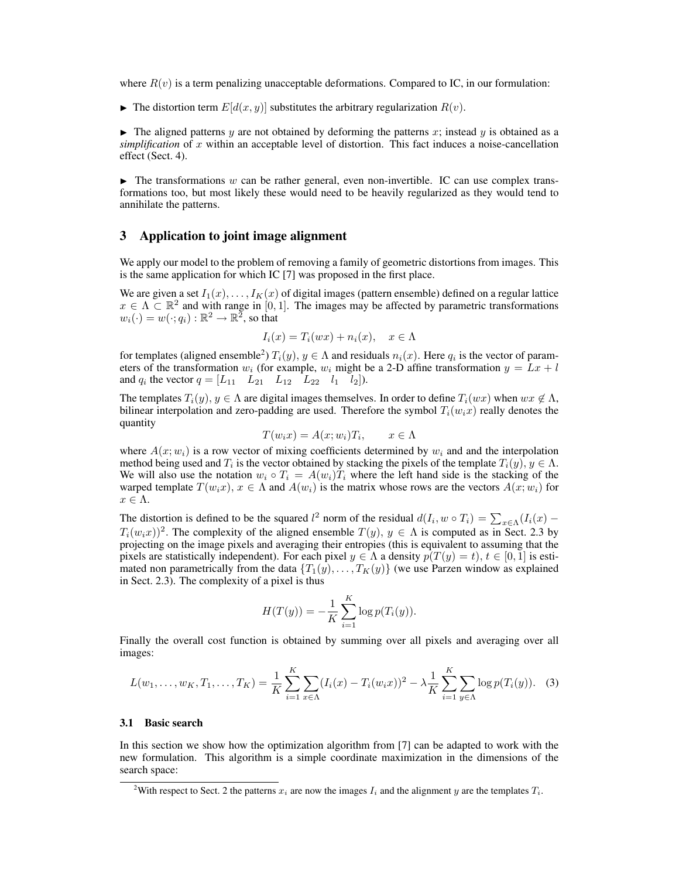where  $R(v)$  is a term penalizing unacceptable deformations. Compared to IC, in our formulation:

 $\blacktriangleright$  The distortion term  $E[d(x, y)]$  substitutes the arbitrary regularization  $R(v)$ .

 $\blacktriangleright$  The aligned patterns y are not obtained by deforming the patterns x; instead y is obtained as a  $simplification$  of x within an acceptable level of distortion. This fact induces a noise-cancellation effect (Sect. 4).

 $\blacktriangleright$  The transformations w can be rather general, even non-invertible. IC can use complex transformations too, but most likely these would need to be heavily regularized as they would tend to annihilate the patterns.

## 3 Application to joint image alignment

We apply our model to the problem of removing a family of geometric distortions from images. This is the same application for which IC [7] was proposed in the first place.

We are given a set  $I_1(x), \ldots, I_K(x)$  of digital images (pattern ensemble) defined on a regular lattice  $x \in \Lambda \subset \mathbb{R}^2$  and with range in [0,1]. The images may be affected by parametric transformations  $w_i(\cdot) = w(\cdot; q_i) : \mathbb{R}^2 \to \mathbb{R}^2$ , so that

$$
I_i(x) = T_i(wx) + n_i(x), \quad x \in \Lambda
$$

for templates (aligned ensemble<sup>2</sup>)  $T_i(y)$ ,  $y \in \Lambda$  and residuals  $n_i(x)$ . Here  $q_i$  is the vector of parameters of the transformation  $w_i$  (for example,  $w_i$  might be a 2-D affine transformation  $y = \tilde{L}x + l$ and  $q_i$  the vector  $q = \begin{bmatrix} L_{11} & L_{21} & L_{12} & L_{22} & l_1 & l_2 \end{bmatrix}$ .

The templates  $T_i(y)$ ,  $y \in \Lambda$  are digital images themselves. In order to define  $T_i(wx)$  when  $wx \notin \Lambda$ , bilinear interpolation and zero-padding are used. Therefore the symbol  $T_i(w_ix)$  really denotes the quantity

$$
T(w_i x) = A(x; w_i) T_i, \qquad x \in \Lambda
$$

where  $A(x; w_i)$  is a row vector of mixing coefficients determined by  $w_i$  and and the interpolation method being used and  $T_i$  is the vector obtained by stacking the pixels of the template  $T_i(y)$ ,  $y \in \Lambda$ . We will also use the notation  $w_i \circ T_i = A(w_i)T_i$  where the left hand side is the stacking of the warped template  $T(w_i x)$ ,  $x \in \Lambda$  and  $A(w_i)$  is the matrix whose rows are the vectors  $A(x; w_i)$  for  $x \in \Lambda$ .

The distortion is defined to be the squared  $l^2$  norm of the residual  $d(I_i, w \circ T_i) = \sum_{x \in \Lambda} (I_i(x) T_i(w_ix))^2$ . The complexity of the aligned ensemble  $T(y)$ ,  $y \in \Lambda$  is computed as in Sect. 2.3 by projecting on the image pixels and averaging their entropies (this is equivalent to assuming that the pixels are statistically independent). For each pixel  $y \in \Lambda$  a density  $p(T(y) = t)$ ,  $t \in [0, 1]$  is estimated non parametrically from the data  $\{T_1(y), \ldots, T_K(y)\}$  (we use Parzen window as explained in Sect. 2.3). The complexity of a pixel is thus

$$
H(T(y)) = -\frac{1}{K} \sum_{i=1}^{K} \log p(T_i(y)).
$$

Finally the overall cost function is obtained by summing over all pixels and averaging over all images:

$$
L(w_1, \ldots, w_K, T_1, \ldots, T_K) = \frac{1}{K} \sum_{i=1}^K \sum_{x \in \Lambda} (I_i(x) - T_i(w_i x))^2 - \lambda \frac{1}{K} \sum_{i=1}^K \sum_{y \in \Lambda} \log p(T_i(y)).
$$
 (3)

#### 3.1 Basic search

In this section we show how the optimization algorithm from [7] can be adapted to work with the new formulation. This algorithm is a simple coordinate maximization in the dimensions of the search space:

<sup>&</sup>lt;sup>2</sup>With respect to Sect. 2 the patterns  $x_i$  are now the images  $I_i$  and the alignment y are the templates  $T_i$ .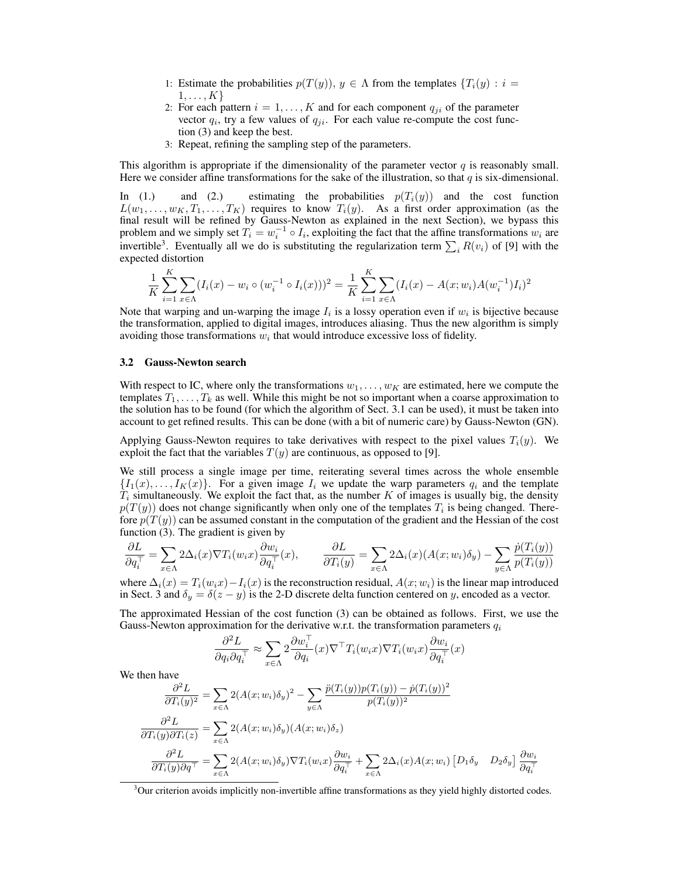- 1: Estimate the probabilities  $p(T(y))$ ,  $y \in \Lambda$  from the templates  $\{T_i(y) : i =$  $1, \ldots, K$
- 2: For each pattern  $i = 1, ..., K$  and for each component  $q_{ji}$  of the parameter vector  $q_i$ , try a few values of  $q_{ji}$ . For each value re-compute the cost function (3) and keep the best.
- 3: Repeat, refining the sampling step of the parameters.

This algorithm is appropriate if the dimensionality of the parameter vector  $q$  is reasonably small. Here we consider affine transformations for the sake of the illustration, so that  $q$  is six-dimensional.

In (1.) and (2.) estimating the probabilities  $p(T_i(y))$  and the cost function  $L(w_1, \ldots, w_K, T_1, \ldots, T_K)$  requires to know  $T_i(y)$ . As a first order approximation (as the final result will be refined by Gauss-Newton as explained in the next Section), we bypass this problem and we simply set  $T_i = w_i^{-1} \circ I_i$ , exploiting the fact that the affine transformations  $w_i$  are invertible<sup>3</sup>. Eventually all we do is substituting the regularization term  $\sum_i R(v_i)$  of [9] with the expected distortion

$$
\frac{1}{K} \sum_{i=1}^{K} \sum_{x \in \Lambda} (I_i(x) - w_i \circ (w_i^{-1} \circ I_i(x)))^2 = \frac{1}{K} \sum_{i=1}^{K} \sum_{x \in \Lambda} (I_i(x) - A(x; w_i)A(w_i^{-1})I_i)^2
$$

Note that warping and un-warping the image  $I_i$  is a lossy operation even if  $w_i$  is bijective because the transformation, applied to digital images, introduces aliasing. Thus the new algorithm is simply avoiding those transformations  $w_i$  that would introduce excessive loss of fidelity.

#### 3.2 Gauss-Newton search

With respect to IC, where only the transformations  $w_1, \ldots, w_K$  are estimated, here we compute the templates  $T_1, \ldots, T_k$  as well. While this might be not so important when a coarse approximation to the solution has to be found (for which the algorithm of Sect. 3.1 can be used), it must be taken into account to get refined results. This can be done (with a bit of numeric care) by Gauss-Newton (GN).

Applying Gauss-Newton requires to take derivatives with respect to the pixel values  $T_i(y)$ . We exploit the fact that the variables  $T(y)$  are continuous, as opposed to [9].

We still process a single image per time, reiterating several times across the whole ensemble  $\{I_1(x), \ldots, I_K(x)\}\$ . For a given image  $I_i$  we update the warp parameters  $q_i$  and the template  $T_i$  simultaneously. We exploit the fact that, as the number K of images is usually big, the density  $p(T(y))$  does not change significantly when only one of the templates  $T_i$  is being changed. Therefore  $p(T(y))$  can be assumed constant in the computation of the gradient and the Hessian of the cost function (3). The gradient is given by

$$
\frac{\partial L}{\partial q_i^+} = \sum_{x \in \Lambda} 2\Delta_i(x) \nabla T_i(w_i x) \frac{\partial w_i}{\partial q_i^+}(x), \qquad \frac{\partial L}{\partial T_i(y)} = \sum_{x \in \Lambda} 2\Delta_i(x) (A(x; w_i)\delta_y) - \sum_{y \in \Lambda} \frac{\dot{p}(T_i(y))}{p(T_i(y))}
$$

where  $\Delta_i(x) = T_i(w_i x) - I_i(x)$  is the reconstruction residual,  $A(x; w_i)$  is the linear map introduced in Sect. 3 and  $\delta_y = \delta(z - y)$  is the 2-D discrete delta function centered on y, encoded as a vector.

The approximated Hessian of the cost function (3) can be obtained as follows. First, we use the Gauss-Newton approximation for the derivative w.r.t. the transformation parameters  $q_i$ 

$$
\frac{\partial^2 L}{\partial q_i \partial q_i^{\top}} \approx \sum_{x \in \Lambda} 2 \frac{\partial w_i^{\top}}{\partial q_i}(x) \nabla^{\top} T_i(w_i x) \nabla T_i(w_i x) \frac{\partial w_i}{\partial q_i^{\top}}(x)
$$

We then have

$$
\frac{\partial^2 L}{\partial T_i(y)^2} = \sum_{x \in \Lambda} 2(A(x; w_i)\delta_y)^2 - \sum_{y \in \Lambda} \frac{\ddot{p}(T_i(y))p(T_i(y)) - \dot{p}(T_i(y))^2}{p(T_i(y))^2}
$$

$$
\frac{\partial^2 L}{\partial T_i(y)\partial T_i(z)} = \sum_{x \in \Lambda} 2(A(x; w_i)\delta_y)(A(x; w_i)\delta_z)
$$

$$
\frac{\partial^2 L}{\partial T_i(y)\partial q^\top} = \sum_{x \in \Lambda} 2(A(x; w_i)\delta_y)\nabla T_i(w_i x) \frac{\partial w_i}{\partial q_i^\top} + \sum_{x \in \Lambda} 2\Delta_i(x)A(x; w_i) [D_1\delta_y \quad D_2\delta_y] \frac{\partial w_i}{\partial q_i^\top}
$$

<sup>&</sup>lt;sup>3</sup>Our criterion avoids implicitly non-invertible affine transformations as they yield highly distorted codes.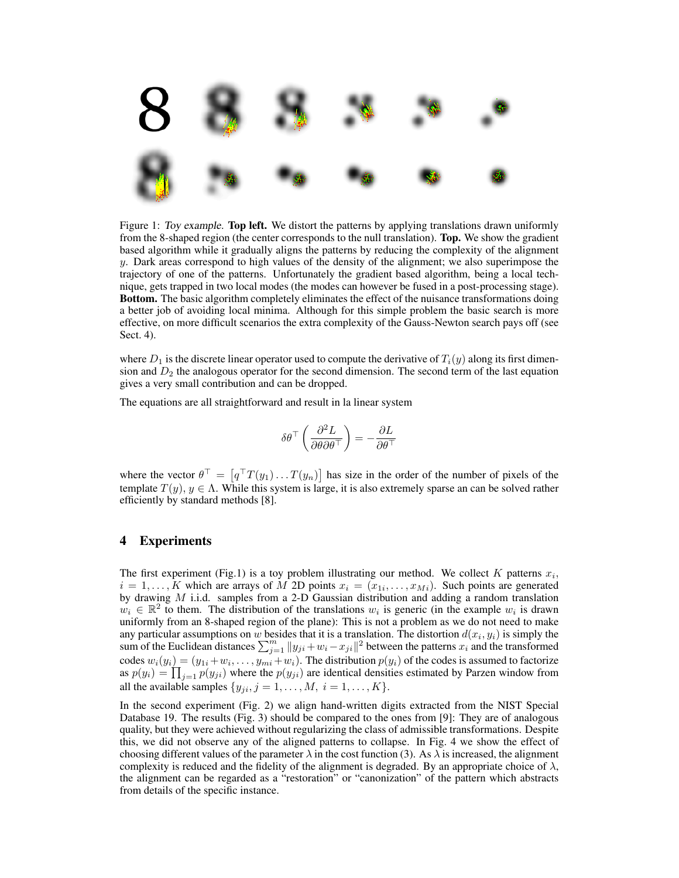

Figure 1: Toy example. Top left. We distort the patterns by applying translations drawn uniformly from the 8-shaped region (the center corresponds to the null translation). Top. We show the gradient based algorithm while it gradually aligns the patterns by reducing the complexity of the alignment y. Dark areas correspond to high values of the density of the alignment; we also superimpose the trajectory of one of the patterns. Unfortunately the gradient based algorithm, being a local technique, gets trapped in two local modes (the modes can however be fused in a post-processing stage). Bottom. The basic algorithm completely eliminates the effect of the nuisance transformations doing a better job of avoiding local minima. Although for this simple problem the basic search is more effective, on more difficult scenarios the extra complexity of the Gauss-Newton search pays off (see Sect. 4).

where  $D_1$  is the discrete linear operator used to compute the derivative of  $T_i(y)$  along its first dimension and  $D_2$  the analogous operator for the second dimension. The second term of the last equation gives a very small contribution and can be dropped.

The equations are all straightforward and result in la linear system

$$
\delta \theta ^{\top} \left( \frac{\partial ^2 L}{\partial \theta \partial \theta ^{\top} } \right) = - \frac{\partial L}{\partial \theta ^{\top} }
$$

where the vector  $\theta^{\top} = [q^{\top}T(y_1) \dots T(y_n)]$  has size in the order of the number of pixels of the template  $T(y)$ ,  $y \in \Lambda$ . While this system is large, it is also extremely sparse an can be solved rather efficiently by standard methods [8].

## 4 Experiments

The first experiment (Fig.1) is a toy problem illustrating our method. We collect K patterns  $x_i$ ,  $i = 1, \ldots, K$  which are arrays of M 2D points  $x_i = (x_{1i}, \ldots, x_{Mi})$ . Such points are generated by drawing  $M$  i.i.d. samples from a 2-D Gaussian distribution and adding a random translation  $w_i \in \mathbb{R}^2$  to them. The distribution of the translations  $w_i$  is generic (in the example  $w_i$  is drawn uniformly from an 8-shaped region of the plane): This is not a problem as we do not need to make any particular assumptions on w besides that it is a translation. The distortion  $d(x_i, y_i)$  is simply the sum of the Euclidean distances  $\sum_{j=1}^{m} ||y_{ji} + w_i - x_{ji}||^2$  between the patterns  $x_i$  and the transformed codes  $w_i(y_i) = (y_{1i} + w_i, \dots, y_{mi} + w_i)$ . The distribution  $p(y_i)$  of the codes is assumed to factorize as  $p(y_i) = \prod_{j=1} p(y_{ji})$  where the  $p(y_{ji})$  are identical densities estimated by Parzen window from all the available samples  $\{y_{ji}, j = 1, \ldots, M, i = 1, \ldots, K\}.$ 

In the second experiment (Fig. 2) we align hand-written digits extracted from the NIST Special Database 19. The results (Fig. 3) should be compared to the ones from [9]: They are of analogous quality, but they were achieved without regularizing the class of admissible transformations. Despite this, we did not observe any of the aligned patterns to collapse. In Fig. 4 we show the effect of choosing different values of the parameter  $\lambda$  in the cost function (3). As  $\lambda$  is increased, the alignment complexity is reduced and the fidelity of the alignment is degraded. By an appropriate choice of  $\lambda$ , the alignment can be regarded as a "restoration" or "canonization" of the pattern which abstracts from details of the specific instance.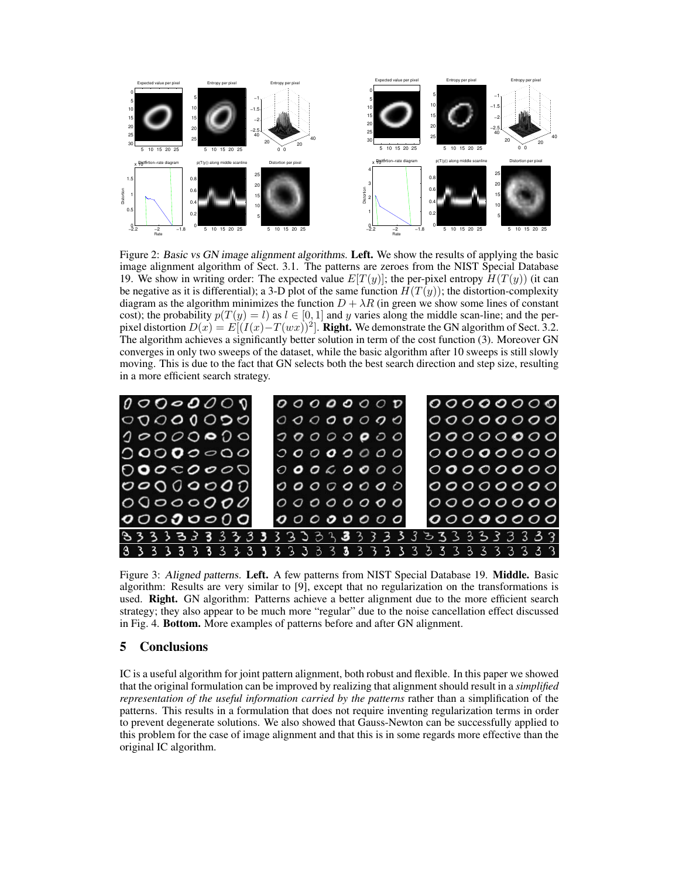

Figure 2: Basic vs GN image alignment algorithms. Left. We show the results of applying the basic image alignment algorithm of Sect. 3.1. The patterns are zeroes from the NIST Special Database 19. We show in writing order: The expected value  $E[T(y)]$ ; the per-pixel entropy  $H(T(y))$  (it can be negative as it is differential); a 3-D plot of the same function  $H(T(y))$ ; the distortion-complexity diagram as the algorithm minimizes the function  $D + \lambda R$  (in green we show some lines of constant cost); the probability  $p(T(y) = l)$  as  $l \in [0, 1]$  and y varies along the middle scan-line; and the perpixel distortion  $D(x) = E[(I(x) - T(wx))^2]$ . **Right.** We demonstrate the GN algorithm of Sect. 3.2. The algorithm achieves a significantly better solution in term of the cost function (3). Moreover GN converges in only two sweeps of the dataset, while the basic algorithm after 10 sweeps is still slowly moving. This is due to the fact that GN selects both the best search direction and step size, resulting in a more efficient search strategy.



Figure 3: Aligned patterns. Left. A few patterns from NIST Special Database 19. Middle. Basic algorithm: Results are very similar to [9], except that no regularization on the transformations is used. Right. GN algorithm: Patterns achieve a better alignment due to the more efficient search strategy; they also appear to be much more "regular" due to the noise cancellation effect discussed in Fig. 4. Bottom. More examples of patterns before and after GN alignment.

# 5 Conclusions

IC is a useful algorithm for joint pattern alignment, both robust and flexible. In this paper we showed that the original formulation can be improved by realizing that alignment should result in a *simplified representation of the useful information carried by the patterns* rather than a simplification of the patterns. This results in a formulation that does not require inventing regularization terms in order to prevent degenerate solutions. We also showed that Gauss-Newton can be successfully applied to this problem for the case of image alignment and that this is in some regards more effective than the original IC algorithm.